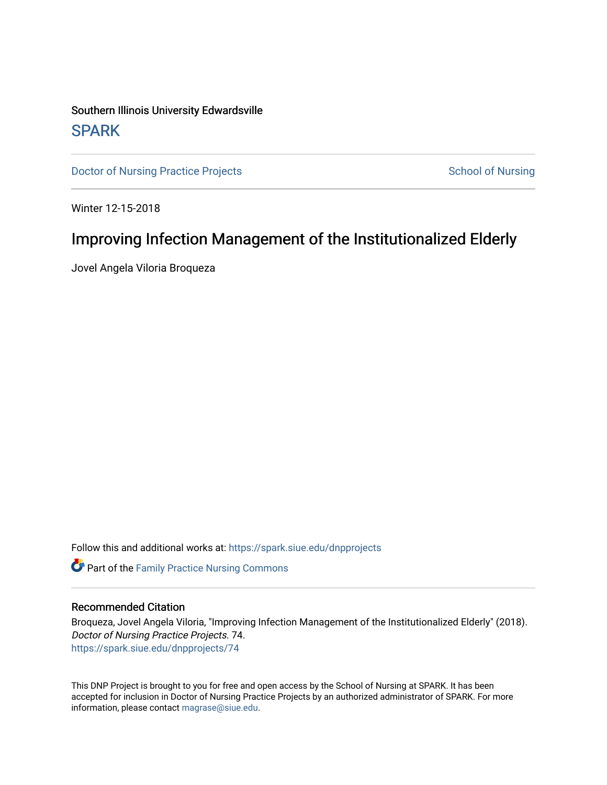## Southern Illinois University Edwardsville **SPARK**

[Doctor of Nursing Practice Projects](https://spark.siue.edu/dnpprojects) **School of Nursing** School of Nursing

Winter 12-15-2018

## Improving Infection Management of the Institutionalized Elderly

Jovel Angela Viloria Broqueza

Follow this and additional works at: [https://spark.siue.edu/dnpprojects](https://spark.siue.edu/dnpprojects?utm_source=spark.siue.edu%2Fdnpprojects%2F74&utm_medium=PDF&utm_campaign=PDFCoverPages) 

**C** Part of the Family Practice Nursing Commons

### Recommended Citation

Broqueza, Jovel Angela Viloria, "Improving Infection Management of the Institutionalized Elderly" (2018). Doctor of Nursing Practice Projects. 74. [https://spark.siue.edu/dnpprojects/74](https://spark.siue.edu/dnpprojects/74?utm_source=spark.siue.edu%2Fdnpprojects%2F74&utm_medium=PDF&utm_campaign=PDFCoverPages)

This DNP Project is brought to you for free and open access by the School of Nursing at SPARK. It has been accepted for inclusion in Doctor of Nursing Practice Projects by an authorized administrator of SPARK. For more information, please contact [magrase@siue.edu](mailto:magrase@siue.edu).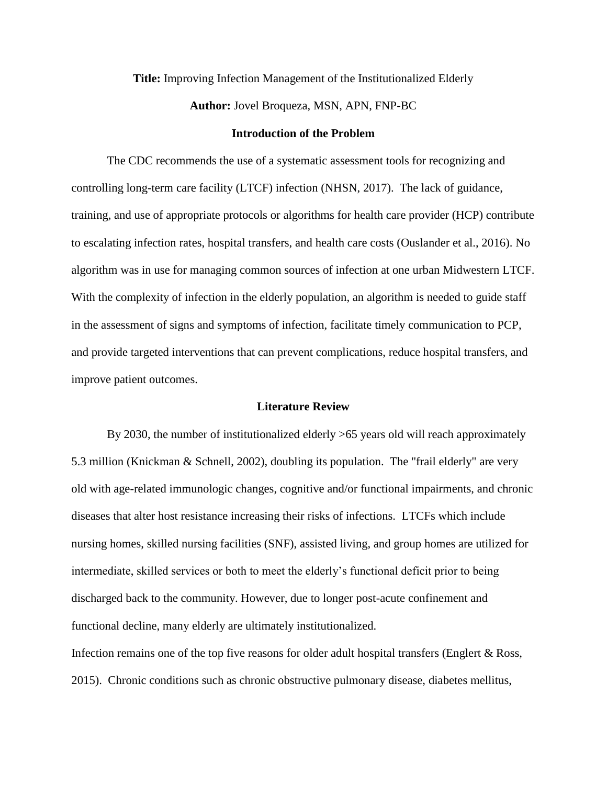### **Title:** Improving Infection Management of the Institutionalized Elderly

**Author:** Jovel Broqueza, MSN, APN, FNP-BC

#### **Introduction of the Problem**

The CDC recommends the use of a systematic assessment tools for recognizing and controlling long-term care facility (LTCF) infection (NHSN, 2017). The lack of guidance, training, and use of appropriate protocols or algorithms for health care provider (HCP) contribute to escalating infection rates, hospital transfers, and health care costs (Ouslander et al., 2016). No algorithm was in use for managing common sources of infection at one urban Midwestern LTCF. With the complexity of infection in the elderly population, an algorithm is needed to guide staff in the assessment of signs and symptoms of infection, facilitate timely communication to PCP, and provide targeted interventions that can prevent complications, reduce hospital transfers, and improve patient outcomes.

#### **Literature Review**

By 2030, the number of institutionalized elderly >65 years old will reach approximately 5.3 million (Knickman & Schnell, 2002), doubling its population. The "frail elderly" are very old with age-related immunologic changes, cognitive and/or functional impairments, and chronic diseases that alter host resistance increasing their risks of infections. LTCFs which include nursing homes, skilled nursing facilities (SNF), assisted living, and group homes are utilized for intermediate, skilled services or both to meet the elderly's functional deficit prior to being discharged back to the community. However, due to longer post-acute confinement and functional decline, many elderly are ultimately institutionalized.

Infection remains one of the top five reasons for older adult hospital transfers (Englert & Ross, 2015). Chronic conditions such as chronic obstructive pulmonary disease, diabetes mellitus,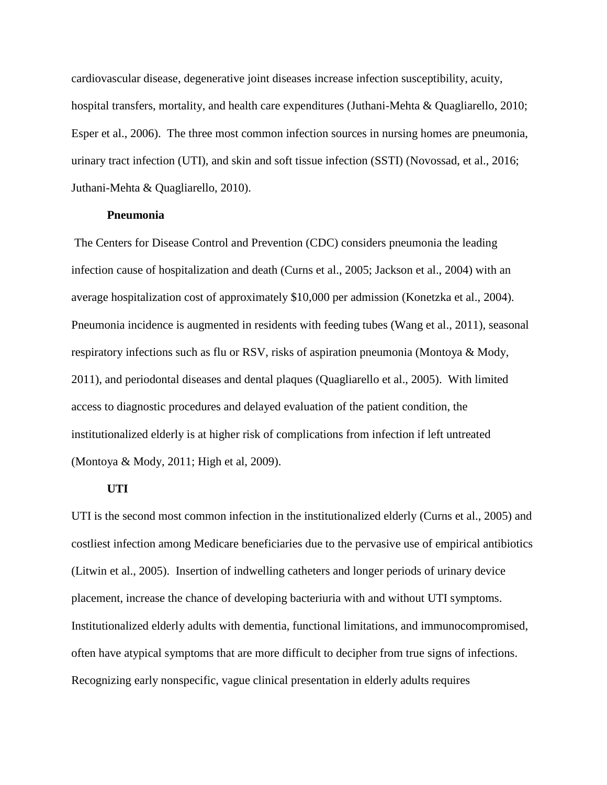cardiovascular disease, degenerative joint diseases increase infection susceptibility, acuity, hospital transfers, mortality, and health care expenditures (Juthani-Mehta & Quagliarello, 2010; Esper et al., 2006). The three most common infection sources in nursing homes are pneumonia, urinary tract infection (UTI), and skin and soft tissue infection (SSTI) (Novossad, et al., 2016; Juthani-Mehta & Quagliarello, 2010).

#### **Pneumonia**

The Centers for Disease Control and Prevention (CDC) considers pneumonia the leading infection cause of hospitalization and death (Curns et al., 2005; Jackson et al., 2004) with an average hospitalization cost of approximately \$10,000 per admission (Konetzka et al., 2004). Pneumonia incidence is augmented in residents with feeding tubes (Wang et al., 2011), seasonal respiratory infections such as flu or RSV, risks of aspiration pneumonia (Montoya & Mody, 2011), and periodontal diseases and dental plaques (Quagliarello et al., 2005). With limited access to diagnostic procedures and delayed evaluation of the patient condition, the institutionalized elderly is at higher risk of complications from infection if left untreated (Montoya & Mody, 2011; High et al, 2009).

#### **UTI**

UTI is the second most common infection in the institutionalized elderly (Curns et al., 2005) and costliest infection among Medicare beneficiaries due to the pervasive use of empirical antibiotics (Litwin et al., 2005). Insertion of indwelling catheters and longer periods of urinary device placement, increase the chance of developing bacteriuria with and without UTI symptoms. Institutionalized elderly adults with dementia, functional limitations, and immunocompromised, often have atypical symptoms that are more difficult to decipher from true signs of infections. Recognizing early nonspecific, vague clinical presentation in elderly adults requires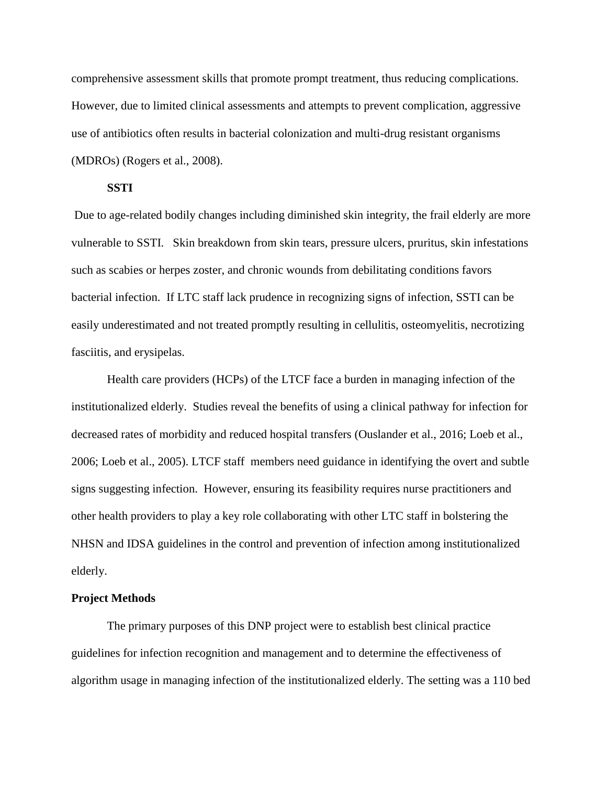comprehensive assessment skills that promote prompt treatment, thus reducing complications. However, due to limited clinical assessments and attempts to prevent complication, aggressive use of antibiotics often results in bacterial colonization and multi-drug resistant organisms (MDROs) (Rogers et al., 2008).

## **SSTI**

Due to age-related bodily changes including diminished skin integrity, the frail elderly are more vulnerable to SSTI. Skin breakdown from skin tears, pressure ulcers, pruritus, skin infestations such as scabies or herpes zoster, and chronic wounds from debilitating conditions favors bacterial infection. If LTC staff lack prudence in recognizing signs of infection, SSTI can be easily underestimated and not treated promptly resulting in cellulitis, osteomyelitis, necrotizing fasciitis, and erysipelas.

Health care providers (HCPs) of the LTCF face a burden in managing infection of the institutionalized elderly. Studies reveal the benefits of using a clinical pathway for infection for decreased rates of morbidity and reduced hospital transfers (Ouslander et al., 2016; Loeb et al., 2006; Loeb et al., 2005). LTCF staff members need guidance in identifying the overt and subtle signs suggesting infection. However, ensuring its feasibility requires nurse practitioners and other health providers to play a key role collaborating with other LTC staff in bolstering the NHSN and IDSA guidelines in the control and prevention of infection among institutionalized elderly.

## **Project Methods**

The primary purposes of this DNP project were to establish best clinical practice guidelines for infection recognition and management and to determine the effectiveness of algorithm usage in managing infection of the institutionalized elderly. The setting was a 110 bed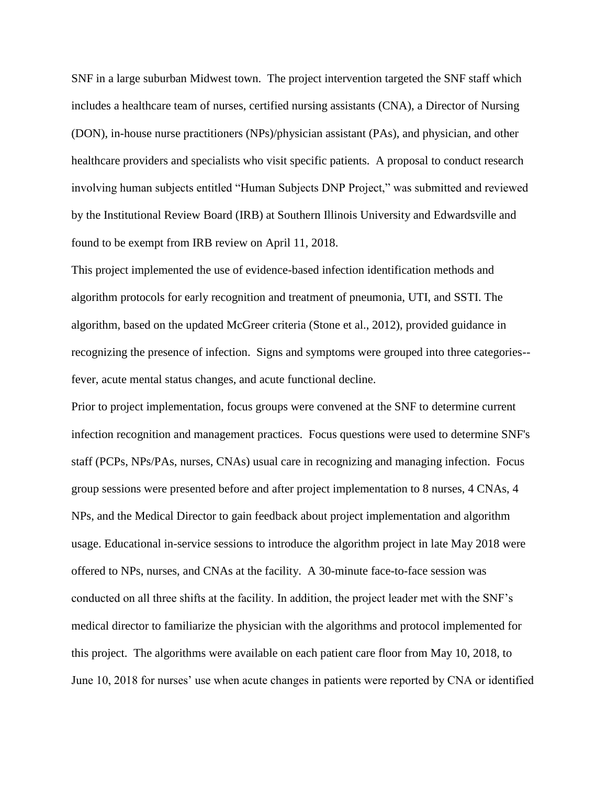SNF in a large suburban Midwest town. The project intervention targeted the SNF staff which includes a healthcare team of nurses, certified nursing assistants (CNA), a Director of Nursing (DON), in-house nurse practitioners (NPs)/physician assistant (PAs), and physician, and other healthcare providers and specialists who visit specific patients. A proposal to conduct research involving human subjects entitled "Human Subjects DNP Project," was submitted and reviewed by the Institutional Review Board (IRB) at Southern Illinois University and Edwardsville and found to be exempt from IRB review on April 11, 2018.

This project implemented the use of evidence-based infection identification methods and algorithm protocols for early recognition and treatment of pneumonia, UTI, and SSTI. The algorithm, based on the updated McGreer criteria (Stone et al., 2012), provided guidance in recognizing the presence of infection. Signs and symptoms were grouped into three categories- fever, acute mental status changes, and acute functional decline.

Prior to project implementation, focus groups were convened at the SNF to determine current infection recognition and management practices. Focus questions were used to determine SNF's staff (PCPs, NPs/PAs, nurses, CNAs) usual care in recognizing and managing infection. Focus group sessions were presented before and after project implementation to 8 nurses, 4 CNAs, 4 NPs, and the Medical Director to gain feedback about project implementation and algorithm usage. Educational in-service sessions to introduce the algorithm project in late May 2018 were offered to NPs, nurses, and CNAs at the facility. A 30-minute face-to-face session was conducted on all three shifts at the facility. In addition, the project leader met with the SNF's medical director to familiarize the physician with the algorithms and protocol implemented for this project. The algorithms were available on each patient care floor from May 10, 2018, to June 10, 2018 for nurses' use when acute changes in patients were reported by CNA or identified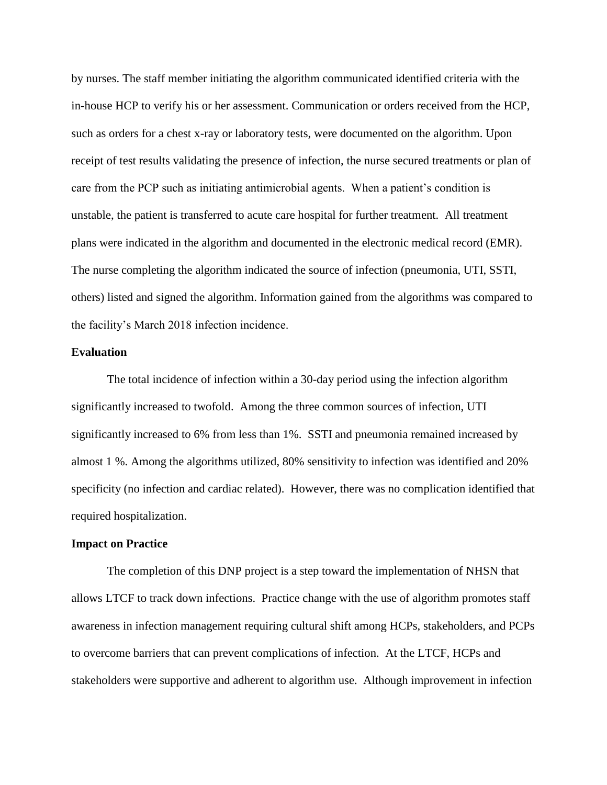by nurses. The staff member initiating the algorithm communicated identified criteria with the in-house HCP to verify his or her assessment. Communication or orders received from the HCP, such as orders for a chest x-ray or laboratory tests, were documented on the algorithm. Upon receipt of test results validating the presence of infection, the nurse secured treatments or plan of care from the PCP such as initiating antimicrobial agents. When a patient's condition is unstable, the patient is transferred to acute care hospital for further treatment. All treatment plans were indicated in the algorithm and documented in the electronic medical record (EMR). The nurse completing the algorithm indicated the source of infection (pneumonia, UTI, SSTI, others) listed and signed the algorithm. Information gained from the algorithms was compared to the facility's March 2018 infection incidence.

#### **Evaluation**

The total incidence of infection within a 30-day period using the infection algorithm significantly increased to twofold. Among the three common sources of infection, UTI significantly increased to 6% from less than 1%. SSTI and pneumonia remained increased by almost 1 %. Among the algorithms utilized, 80% sensitivity to infection was identified and 20% specificity (no infection and cardiac related). However, there was no complication identified that required hospitalization.

#### **Impact on Practice**

The completion of this DNP project is a step toward the implementation of NHSN that allows LTCF to track down infections. Practice change with the use of algorithm promotes staff awareness in infection management requiring cultural shift among HCPs, stakeholders, and PCPs to overcome barriers that can prevent complications of infection. At the LTCF, HCPs and stakeholders were supportive and adherent to algorithm use. Although improvement in infection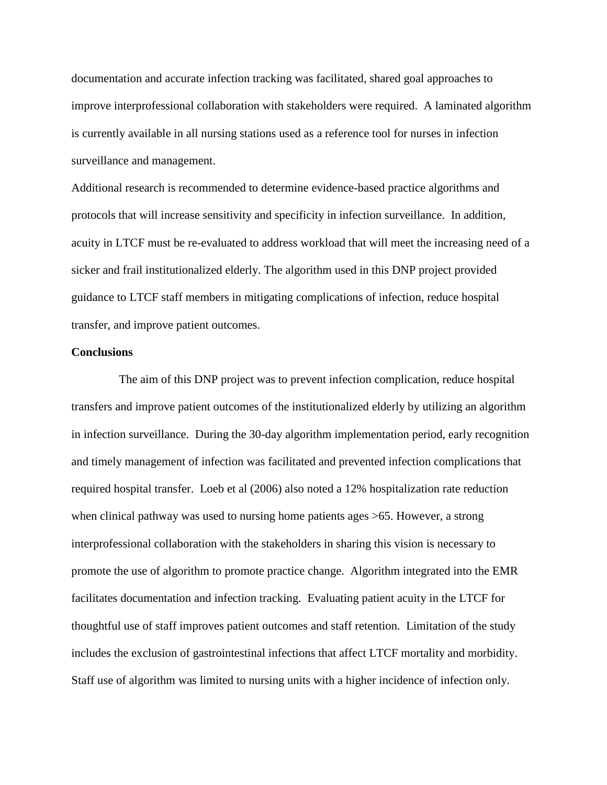documentation and accurate infection tracking was facilitated, shared goal approaches to improve interprofessional collaboration with stakeholders were required. A laminated algorithm is currently available in all nursing stations used as a reference tool for nurses in infection surveillance and management.

Additional research is recommended to determine evidence-based practice algorithms and protocols that will increase sensitivity and specificity in infection surveillance. In addition, acuity in LTCF must be re-evaluated to address workload that will meet the increasing need of a sicker and frail institutionalized elderly. The algorithm used in this DNP project provided guidance to LTCF staff members in mitigating complications of infection, reduce hospital transfer, and improve patient outcomes.

#### **Conclusions**

 The aim of this DNP project was to prevent infection complication, reduce hospital transfers and improve patient outcomes of the institutionalized elderly by utilizing an algorithm in infection surveillance. During the 30-day algorithm implementation period, early recognition and timely management of infection was facilitated and prevented infection complications that required hospital transfer. Loeb et al (2006) also noted a 12% hospitalization rate reduction when clinical pathway was used to nursing home patients ages  $>65$ . However, a strong interprofessional collaboration with the stakeholders in sharing this vision is necessary to promote the use of algorithm to promote practice change. Algorithm integrated into the EMR facilitates documentation and infection tracking. Evaluating patient acuity in the LTCF for thoughtful use of staff improves patient outcomes and staff retention. Limitation of the study includes the exclusion of gastrointestinal infections that affect LTCF mortality and morbidity. Staff use of algorithm was limited to nursing units with a higher incidence of infection only.